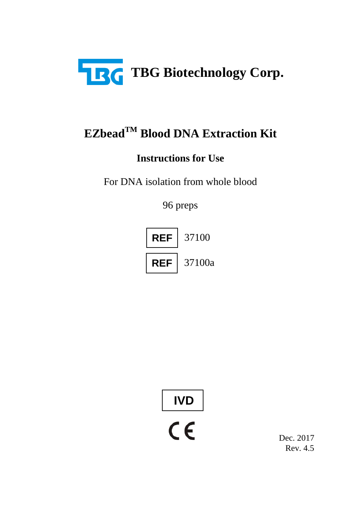

# **EZbeadTM Blood DNA Extraction Kit**

## **Instructions for Use**

For DNA isolation from whole blood

96 preps



**IVD**

Dec. 2017 Rev. 4.5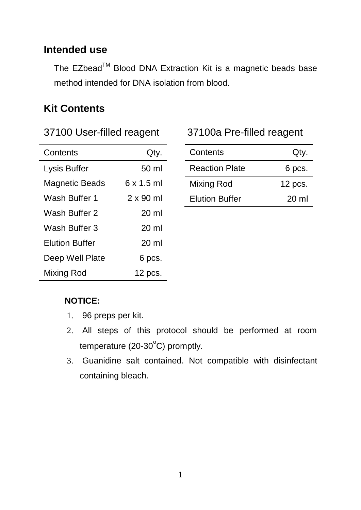#### **Intended use**

The EZbead™ Blood DNA Extraction Kit is a magnetic beads base method intended for DNA isolation from blood.

#### **Kit Contents**

|  | 37100 User-filled reagent |  |
|--|---------------------------|--|
|--|---------------------------|--|

| Contents              | Qty.             |
|-----------------------|------------------|
| Lysis Buffer          | 50 ml            |
| Magnetic Beads        | 6 x 1.5 ml       |
| Wash Buffer 1         | $2 \times 90$ ml |
| Wash Buffer 2         | $20 \mathrm{m}$  |
| Wash Buffer 3         | $20 \mathrm{m}$  |
| <b>Elution Buffer</b> | 20 ml            |
| Deep Well Plate       | 6 pcs.           |
| Mixing Rod            | $12$ pcs.        |

#### 37100a Pre-filled reagent

| Contents              | Qty.    |
|-----------------------|---------|
| <b>Reaction Plate</b> | 6 pcs.  |
| Mixing Rod            | 12 pcs. |
| <b>Elution Buffer</b> | 20 ml   |

#### **NOTICE:**

- 1. 96 preps per kit.
- 2. All steps of this protocol should be performed at room temperature (20-30 $\rm ^{o}$ C) promptly.
- 3. Guanidine salt contained. Not compatible with disinfectant containing bleach.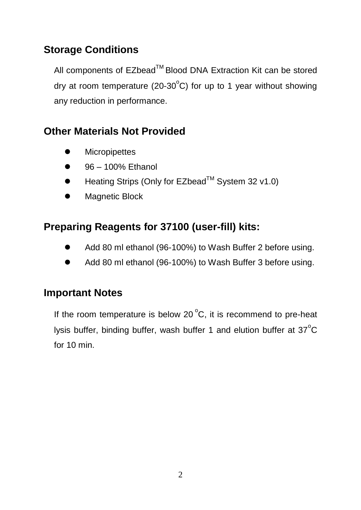## **Storage Conditions**

All components of EZbead™ Blood DNA Extraction Kit can be stored dry at room temperature (20-30 $^{\circ}$ C) for up to 1 year without showing any reduction in performance.

### **Other Materials Not Provided**

- **Micropipettes**
- 96 100% Ethanol
- $\bullet$  Heating Strips (Only for EZbead<sup>TM</sup> System 32 y1.0)
- **•** Magnetic Block

## **Preparing Reagents for 37100 (user-fill) kits:**

- Add 80 ml ethanol (96-100%) to Wash Buffer 2 before using.
- Add 80 ml ethanol (96-100%) to Wash Buffer 3 before using.

#### **Important Notes**

If the room temperature is below 20 $\mathrm{^oC}$ , it is recommend to pre-heat lysis buffer, binding buffer, wash buffer 1 and elution buffer at 37 $^{\circ}$ C for 10 min.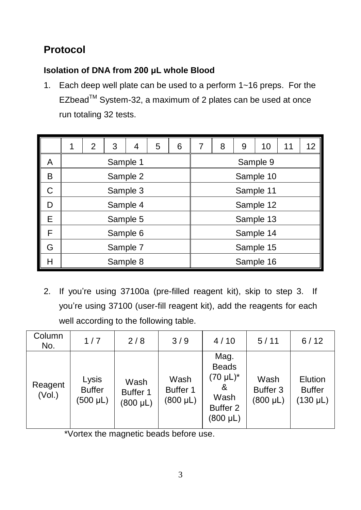# **Protocol**

#### **Isolation of DNA from 200 μL whole Blood**

1. Each deep well plate can be used to a perform 1~16 preps. For the EZbead™ System-32, a maximum of 2 plates can be used at once run totaling 32 tests.

|   | 1        | 2 | 3 | 4 | 5 | 6 |  | 8 | 9 | 10        | 11 | 12 |
|---|----------|---|---|---|---|---|--|---|---|-----------|----|----|
| A | Sample 1 |   |   |   |   |   |  |   |   | Sample 9  |    |    |
| в | Sample 2 |   |   |   |   |   |  |   |   | Sample 10 |    |    |
| C | Sample 3 |   |   |   |   |   |  |   |   | Sample 11 |    |    |
| D | Sample 4 |   |   |   |   |   |  |   |   | Sample 12 |    |    |
| E | Sample 5 |   |   |   |   |   |  |   |   | Sample 13 |    |    |
| F | Sample 6 |   |   |   |   |   |  |   |   | Sample 14 |    |    |
| G | Sample 7 |   |   |   |   |   |  |   |   | Sample 15 |    |    |
| н | Sample 8 |   |   |   |   |   |  |   |   | Sample 16 |    |    |

2. If you're using 37100a (pre-filled reagent kit), skip to step 3. If you're using 37100 (user-fill reagent kit), add the reagents for each well according to the following table.

| Column<br>No.     | 1/7                                     | 2/8                               | 3/9                          | 4/10                                                                             | 5/11                              | 6/12                                      |
|-------------------|-----------------------------------------|-----------------------------------|------------------------------|----------------------------------------------------------------------------------|-----------------------------------|-------------------------------------------|
| Reagent<br>(Vol.) | Lysis<br><b>Buffer</b><br>$(500 \mu L)$ | Wash<br>Buffer 1<br>$(800 \mu L)$ | Wash<br>Buffer 1<br>(800 µL) | Mag.<br><b>Beads</b><br>(70 µL)*<br>&<br>Wash<br>Buffer <sub>2</sub><br>(800 µL) | Wash<br>Buffer 3<br>$(800 \mu L)$ | Elution<br><b>Buffer</b><br>$(130 \mu L)$ |

\*Vortex the magnetic beads before use.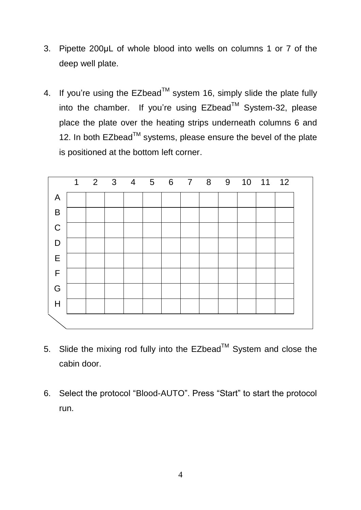- 3. Pipette 200μL of whole blood into wells on columns 1 or 7 of the deep well plate.
- 4. If you're using the  $EZbead^{\text{TM}}$  system 16, simply slide the plate fully into the chamber. If you're using  $EZbead^{TM}$  System-32, please place the plate over the heating strips underneath columns 6 and 12. In both  $EZbead^{TM}$  systems, please ensure the bevel of the plate is positioned at the bottom left corner.



- 5. Slide the mixing rod fully into the EZbead<sup>™</sup> System and close the cabin door.
- 6. Select the protocol "Blood-AUTO". Press "Start" to start the protocol run.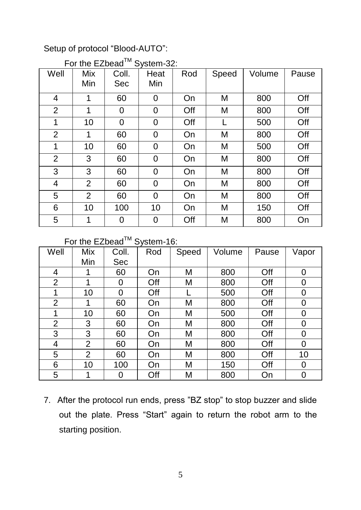#### Setup of protocol "Blood-AUTO":

| Well | Mix<br>Min     | Coll.<br>Sec | Heat<br>Min | Rod | Speed | Volume | Pause |
|------|----------------|--------------|-------------|-----|-------|--------|-------|
| 4    | 1              | 60           | 0           | On  | M     | 800    | Off   |
| 2    | 1              | 0            | 0           | Off | M     | 800    | Off   |
| 1    | 10             | 0            | 0           | Off |       | 500    | Off   |
| 2    | 1              | 60           | 0           | On  | M     | 800    | Off   |
| 1    | 10             | 60           | 0           | On  | M     | 500    | Off   |
| 2    | 3              | 60           | 0           | On  | M     | 800    | Off   |
| 3    | 3              | 60           | 0           | On  | M     | 800    | Off   |
| 4    | $\overline{2}$ | 60           | 0           | On  | M     | 800    | Off   |
| 5    | $\overline{2}$ | 60           | 0           | On  | M     | 800    | Off   |
| 6    | 10             | 100          | 10          | On  | M     | 150    | Off   |
| 5    | 1              | 0            | 0           | Off | M     | 800    | On    |

#### For the  $FZ$  head  $T^M$  System-32:

#### For the EZbead™ System-16:

| Well | Mix            | Coll. | Rod | Speed | Volume | Pause | Vapor |
|------|----------------|-------|-----|-------|--------|-------|-------|
|      | Min            | Sec   |     |       |        |       |       |
| 4    |                | 60    | On  | М     | 800    | Off   | 0     |
| 2    | 1              | 0     | Off | М     | 800    | Off   | 0     |
| 1    | 10             | 0     | Off |       | 500    | Off   | 0     |
| 2    | 1              | 60    | On  | М     | 800    | Off   | 0     |
| 1    | 10             | 60    | On  | M     | 500    | Off   | 0     |
| 2    | 3              | 60    | On  | М     | 800    | Off   | 0     |
| 3    | 3              | 60    | On  | М     | 800    | Off   | 0     |
| 4    | 2              | 60    | On  | М     | 800    | Off   | 0     |
| 5    | $\overline{2}$ | 60    | On  | Μ     | 800    | Off   | 10    |
| 6    | 10             | 100   | On  | М     | 150    | Off   | 0     |
| 5    |                | 0     | Off | М     | 800    | On    | 0     |

7. After the protocol run ends, press "BZ stop" to stop buzzer and slide out the plate. Press "Start" again to return the robot arm to the starting position.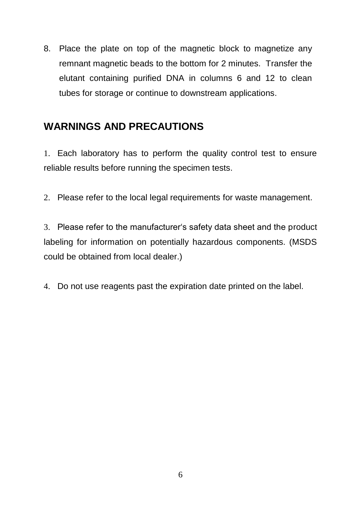8. Place the plate on top of the magnetic block to magnetize any remnant magnetic beads to the bottom for 2 minutes. Transfer the elutant containing purified DNA in columns 6 and 12 to clean tubes for storage or continue to downstream applications.

#### **WARNINGS AND PRECAUTIONS**

1. Each laboratory has to perform the quality control test to ensure reliable results before running the specimen tests.

2. Please refer to the local legal requirements for waste management.

3. Please refer to the manufacturer's safety data sheet and the product labeling for information on potentially hazardous components. (MSDS could be obtained from local dealer.)

4. Do not use reagents past the expiration date printed on the label.